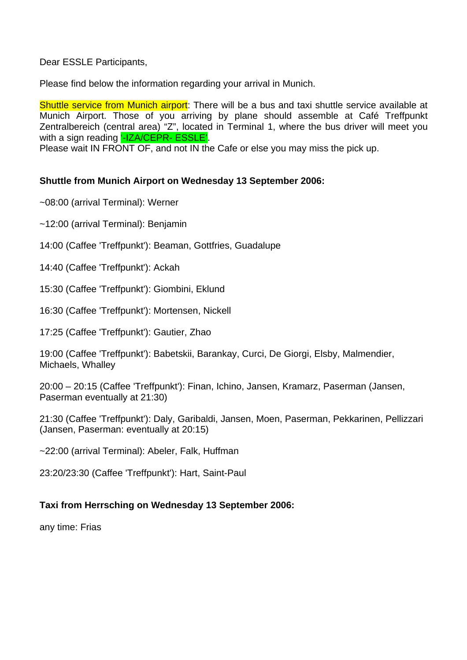Dear ESSLE Participants,

Please find below the information regarding your arrival in Munich.

Shuttle service from Munich airport: There will be a bus and taxi shuttle service available at Munich Airport. Those of you arriving by plane should assemble at Café Treffpunkt Zentralbereich (central area) "Z", located in Terminal 1, where the bus driver will meet you with a sign reading '-IZA/CEPR- ESSLE'.

Please wait IN FRONT OF, and not IN the Cafe or else you may miss the pick up.

# **Shuttle from Munich Airport on Wednesday 13 September 2006:**

~08:00 (arrival Terminal): Werner

~12:00 (arrival Terminal): Benjamin

14:00 (Caffee 'Treffpunkt'): Beaman, Gottfries, Guadalupe

14:40 (Caffee 'Treffpunkt'): Ackah

15:30 (Caffee 'Treffpunkt'): Giombini, Eklund

16:30 (Caffee 'Treffpunkt'): Mortensen, Nickell

17:25 (Caffee 'Treffpunkt'): Gautier, Zhao

19:00 (Caffee 'Treffpunkt'): Babetskii, Barankay, Curci, De Giorgi, Elsby, Malmendier, Michaels, Whalley

20:00 – 20:15 (Caffee 'Treffpunkt'): Finan, Ichino, Jansen, Kramarz, Paserman (Jansen, Paserman eventually at 21:30)

21:30 (Caffee 'Treffpunkt'): Daly, Garibaldi, Jansen, Moen, Paserman, Pekkarinen, Pellizzari (Jansen, Paserman: eventually at 20:15)

~22:00 (arrival Terminal): Abeler, Falk, Huffman

23:20/23:30 (Caffee 'Treffpunkt'): Hart, Saint-Paul

# **Taxi from Herrsching on Wednesday 13 September 2006:**

any time: Frias